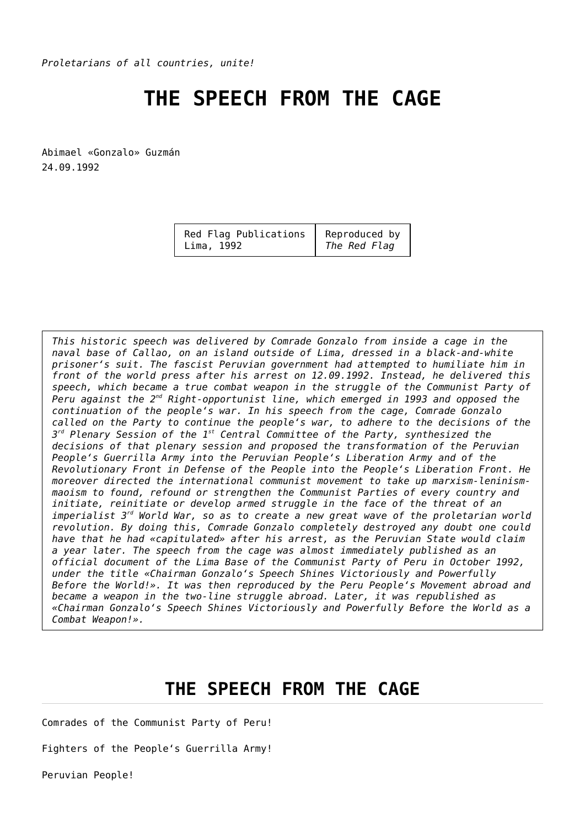*Proletarians of all countries, unite!*

## **THE SPEECH FROM THE CAGE**

Abimael «Gonzalo» Guzmán 24.09.1992

| Red Flag Publications Reproduced by<br>Lima, 1992 Fine Red Flag |  |
|-----------------------------------------------------------------|--|
|                                                                 |  |

*This historic speech was delivered by Comrade Gonzalo from inside a cage in the naval base of Callao, on an island outside of Lima, dressed in a black-and-white prisoner's suit. The fascist Peruvian government had attempted to humiliate him in front of the world press after his arrest on 12.09.1992. Instead, he delivered this speech, which became a true combat weapon in the struggle of the Communist Party of Peru against the 2nd Right-opportunist line, which emerged in 1993 and opposed the continuation of the people's war. In his speech from the cage, Comrade Gonzalo called on the Party to continue the people's war, to adhere to the decisions of the 3 rd Plenary Session of the 1st Central Committee of the Party, synthesized the decisions of that plenary session and proposed the transformation of the Peruvian People's Guerrilla Army into the Peruvian People's Liberation Army and of the Revolutionary Front in Defense of the People into the People's Liberation Front. He moreover directed the international communist movement to take up marxism-leninismmaoism to found, refound or strengthen the Communist Parties of every country and initiate, reinitiate or develop armed struggle in the face of the threat of an imperialist 3rd World War, so as to create a new great wave of the proletarian world revolution. By doing this, Comrade Gonzalo completely destroyed any doubt one could have that he had «capitulated» after his arrest, as the Peruvian State would claim a year later. The speech from the cage was almost immediately published as an official document of the Lima Base of the Communist Party of Peru in October 1992, under the title «Chairman Gonzalo's Speech Shines Victoriously and Powerfully Before the World!». It was then reproduced by the Peru People's Movement abroad and became a weapon in the two-line struggle abroad. Later, it was republished as «Chairman Gonzalo's Speech Shines Victoriously and Powerfully Before the World as a Combat Weapon!».*

## **THE SPEECH FROM THE CAGE**

Comrades of the Communist Party of Peru!

Fighters of the People's Guerrilla Army!

Peruvian People!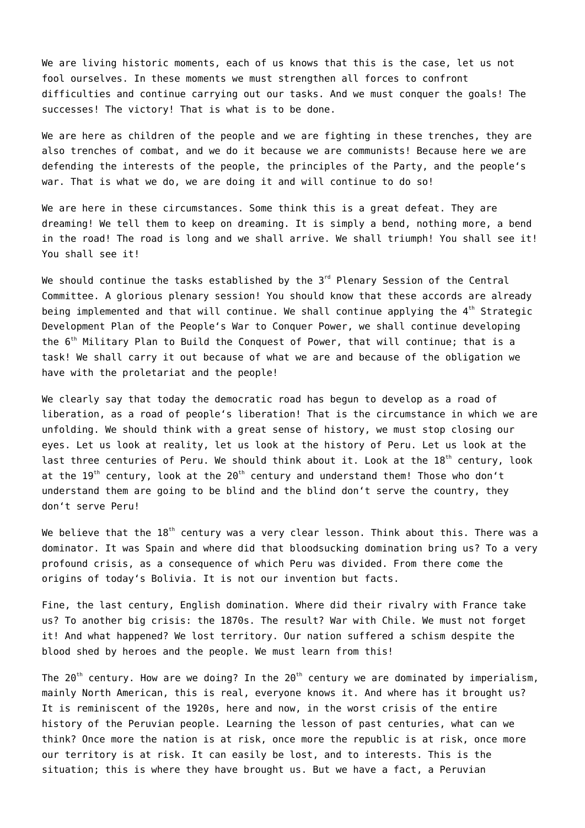We are living historic moments, each of us knows that this is the case, let us not fool ourselves. In these moments we must strengthen all forces to confront difficulties and continue carrying out our tasks. And we must conquer the goals! The successes! The victory! That is what is to be done.

We are here as children of the people and we are fighting in these trenches, they are also trenches of combat, and we do it because we are communists! Because here we are defending the interests of the people, the principles of the Party, and the people's war. That is what we do, we are doing it and will continue to do so!

We are here in these circumstances. Some think this is a great defeat. They are dreaming! We tell them to keep on dreaming. It is simply a bend, nothing more, a bend in the road! The road is long and we shall arrive. We shall triumph! You shall see it! You shall see it!

We should continue the tasks established by the  $3<sup>rd</sup>$  Plenary Session of the Central Committee. A glorious plenary session! You should know that these accords are already being implemented and that will continue. We shall continue applying the  $4^{th}$  Strategic Development Plan of the People's War to Conquer Power, we shall continue developing the 6<sup>th</sup> Military Plan to Build the Conquest of Power, that will continue; that is a task! We shall carry it out because of what we are and because of the obligation we have with the proletariat and the people!

We clearly say that today the democratic road has begun to develop as a road of liberation, as a road of people's liberation! That is the circumstance in which we are unfolding. We should think with a great sense of history, we must stop closing our eyes. Let us look at reality, let us look at the history of Peru. Let us look at the last three centuries of Peru. We should think about it. Look at the  $18^{th}$  century, look at the  $19^{th}$  century, look at the  $20^{th}$  century and understand them! Those who don't understand them are going to be blind and the blind don't serve the country, they don't serve Peru!

We believe that the  $18<sup>th</sup>$  century was a very clear lesson. Think about this. There was a dominator. It was Spain and where did that bloodsucking domination bring us? To a very profound crisis, as a consequence of which Peru was divided. From there come the origins of today's Bolivia. It is not our invention but facts.

Fine, the last century, English domination. Where did their rivalry with France take us? To another big crisis: the 1870s. The result? War with Chile. We must not forget it! And what happened? We lost territory. Our nation suffered a schism despite the blood shed by heroes and the people. We must learn from this!

The  $20<sup>th</sup>$  century. How are we doing? In the  $20<sup>th</sup>$  century we are dominated by imperialism, mainly North American, this is real, everyone knows it. And where has it brought us? It is reminiscent of the 1920s, here and now, in the worst crisis of the entire history of the Peruvian people. Learning the lesson of past centuries, what can we think? Once more the nation is at risk, once more the republic is at risk, once more our territory is at risk. It can easily be lost, and to interests. This is the situation; this is where they have brought us. But we have a fact, a Peruvian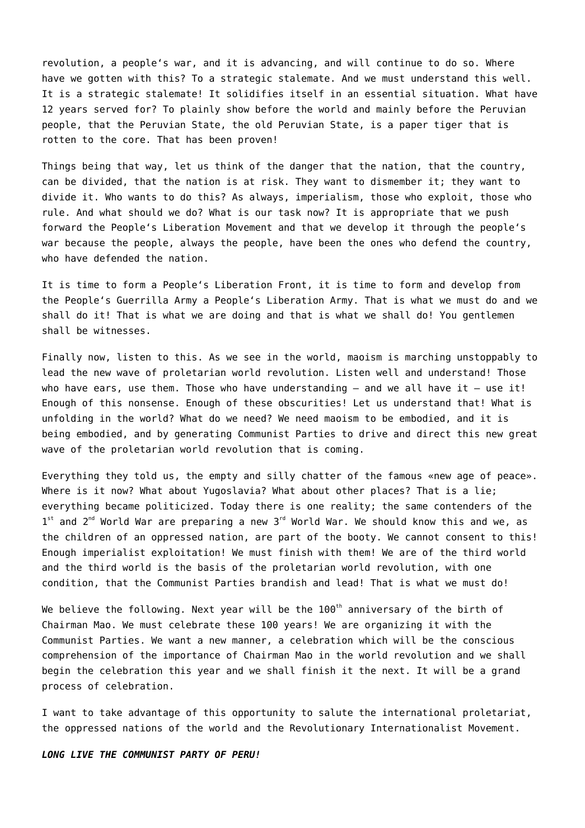revolution, a people's war, and it is advancing, and will continue to do so. Where have we gotten with this? To a strategic stalemate. And we must understand this well. It is a strategic stalemate! It solidifies itself in an essential situation. What have 12 years served for? To plainly show before the world and mainly before the Peruvian people, that the Peruvian State, the old Peruvian State, is a paper tiger that is rotten to the core. That has been proven!

Things being that way, let us think of the danger that the nation, that the country, can be divided, that the nation is at risk. They want to dismember it; they want to divide it. Who wants to do this? As always, imperialism, those who exploit, those who rule. And what should we do? What is our task now? It is appropriate that we push forward the People's Liberation Movement and that we develop it through the people's war because the people, always the people, have been the ones who defend the country, who have defended the nation.

It is time to form a People's Liberation Front, it is time to form and develop from the People's Guerrilla Army a People's Liberation Army. That is what we must do and we shall do it! That is what we are doing and that is what we shall do! You gentlemen shall be witnesses.

Finally now, listen to this. As we see in the world, maoism is marching unstoppably to lead the new wave of proletarian world revolution. Listen well and understand! Those who have ears, use them. Those who have understanding  $-$  and we all have it  $-$  use it! Enough of this nonsense. Enough of these obscurities! Let us understand that! What is unfolding in the world? What do we need? We need maoism to be embodied, and it is being embodied, and by generating Communist Parties to drive and direct this new great wave of the proletarian world revolution that is coming.

Everything they told us, the empty and silly chatter of the famous «new age of peace». Where is it now? What about Yugoslavia? What about other places? That is a lie; everything became politicized. Today there is one reality; the same contenders of the  $1<sup>st</sup>$  and  $2<sup>nd</sup>$  World War are preparing a new  $3<sup>rd</sup>$  World War. We should know this and we, as the children of an oppressed nation, are part of the booty. We cannot consent to this! Enough imperialist exploitation! We must finish with them! We are of the third world and the third world is the basis of the proletarian world revolution, with one condition, that the Communist Parties brandish and lead! That is what we must do!

We believe the following. Next year will be the  $100<sup>th</sup>$  anniversary of the birth of Chairman Mao. We must celebrate these 100 years! We are organizing it with the Communist Parties. We want a new manner, a celebration which will be the conscious comprehension of the importance of Chairman Mao in the world revolution and we shall begin the celebration this year and we shall finish it the next. It will be a grand process of celebration.

I want to take advantage of this opportunity to salute the international proletariat, the oppressed nations of the world and the Revolutionary Internationalist Movement.

*LONG LIVE THE COMMUNIST PARTY OF PERU!*